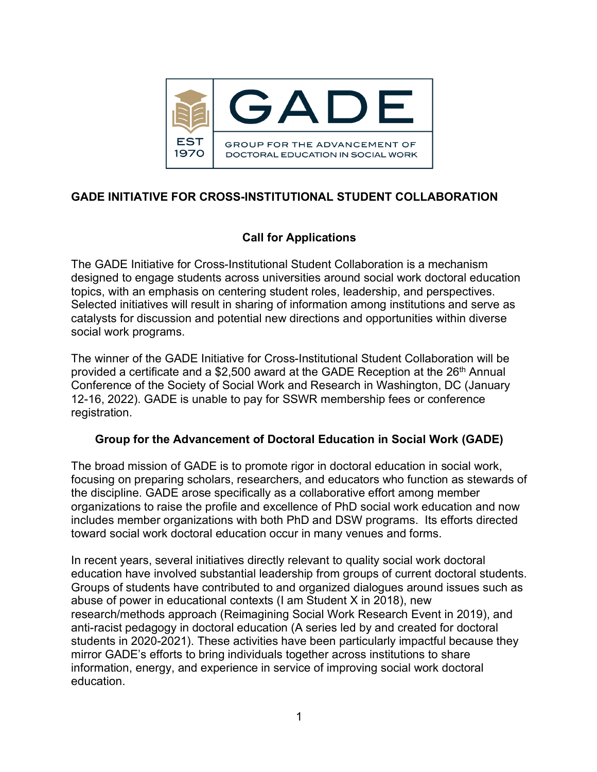

# **GADE INITIATIVE FOR CROSS-INSTITUTIONAL STUDENT COLLABORATION**

## **Call for Applications**

The GADE Initiative for Cross-Institutional Student Collaboration is a mechanism designed to engage students across universities around social work doctoral education topics, with an emphasis on centering student roles, leadership, and perspectives. Selected initiatives will result in sharing of information among institutions and serve as catalysts for discussion and potential new directions and opportunities within diverse social work programs.

The winner of the GADE Initiative for Cross-Institutional Student Collaboration will be provided a certificate and a \$2,500 award at the GADE Reception at the  $26<sup>th</sup>$  Annual Conference of the Society of Social Work and Research in Washington, DC (January 12-16, 2022). GADE is unable to pay for SSWR membership fees or conference registration.

### **Group for the Advancement of Doctoral Education in Social Work (GADE)**

The broad mission of GADE is to promote rigor in doctoral education in social work, focusing on preparing scholars, researchers, and educators who function as stewards of the discipline. GADE arose specifically as a collaborative effort among member organizations to raise the profile and excellence of PhD social work education and now includes member organizations with both PhD and DSW programs. Its efforts directed toward social work doctoral education occur in many venues and forms.

In recent years, several initiatives directly relevant to quality social work doctoral education have involved substantial leadership from groups of current doctoral students. Groups of students have contributed to and organized dialogues around issues such as abuse of power in educational contexts (I am Student X in 2018), new research/methods approach (Reimagining Social Work Research Event in 2019), and anti-racist pedagogy in doctoral education (A series led by and created for doctoral students in 2020-2021). These activities have been particularly impactful because they mirror GADE's efforts to bring individuals together across institutions to share information, energy, and experience in service of improving social work doctoral education.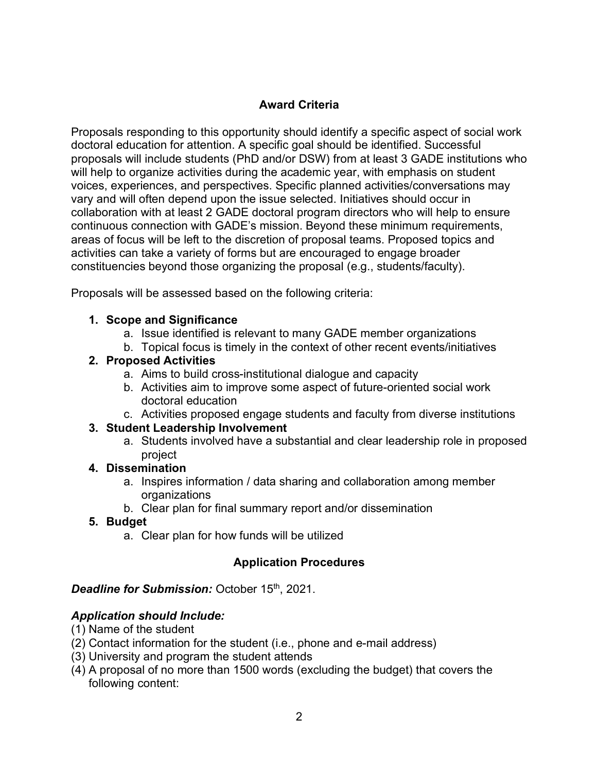## **Award Criteria**

Proposals responding to this opportunity should identify a specific aspect of social work doctoral education for attention. A specific goal should be identified. Successful proposals will include students (PhD and/or DSW) from at least 3 GADE institutions who will help to organize activities during the academic year, with emphasis on student voices, experiences, and perspectives. Specific planned activities/conversations may vary and will often depend upon the issue selected. Initiatives should occur in collaboration with at least 2 GADE doctoral program directors who will help to ensure continuous connection with GADE's mission. Beyond these minimum requirements, areas of focus will be left to the discretion of proposal teams. Proposed topics and activities can take a variety of forms but are encouraged to engage broader constituencies beyond those organizing the proposal (e.g., students/faculty).

Proposals will be assessed based on the following criteria:

### **1. Scope and Significance**

- a. Issue identified is relevant to many GADE member organizations
- b. Topical focus is timely in the context of other recent events/initiatives

#### **2. Proposed Activities**

- a. Aims to build cross-institutional dialogue and capacity
- b. Activities aim to improve some aspect of future-oriented social work doctoral education
- c. Activities proposed engage students and faculty from diverse institutions

### **3. Student Leadership Involvement**

a. Students involved have a substantial and clear leadership role in proposed project

### **4. Dissemination**

- a. Inspires information / data sharing and collaboration among member organizations
- b. Clear plan for final summary report and/or dissemination

### **5. Budget**

a. Clear plan for how funds will be utilized

### **Application Procedures**

### **Deadline for Submission:** October 15<sup>th</sup>, 2021.

### *Application should Include:*

- (1) Name of the student
- (2) Contact information for the student (i.e., phone and e-mail address)
- (3) University and program the student attends
- (4) A proposal of no more than 1500 words (excluding the budget) that covers the following content: